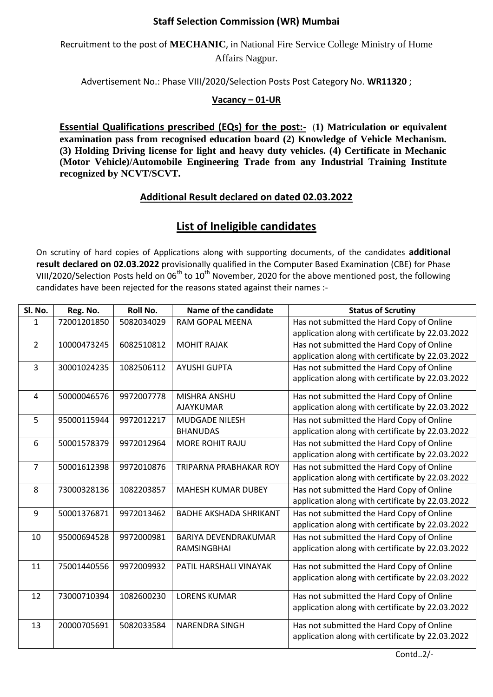## **Staff Selection Commission (WR) Mumbai**

Recruitment to the post of **MECHANIC**, in National Fire Service College Ministry of Home Affairs Nagpur.

Advertisement No.: Phase VIII/2020/Selection Posts Post Category No. **WR11320** ;

## **Vacancy – 01-UR**

**Essential Qualifications prescribed (EQs) for the post:-** (**1) Matriculation or equivalent examination pass from recognised education board (2) Knowledge of Vehicle Mechanism. (3) Holding Driving license for light and heavy duty vehicles. (4) Certificate in Mechanic (Motor Vehicle)/Automobile Engineering Trade from any Industrial Training Institute recognized by NCVT/SCVT.**

## **Additional Result declared on dated 02.03.2022**

## **List of Ineligible candidates**

On scrutiny of hard copies of Applications along with supporting documents, of the candidates **additional result declared on 02.03.2022** provisionally qualified in the Computer Based Examination (CBE) for Phase VIII/2020/Selection Posts held on  $06^{th}$  to  $10^{th}$  November, 2020 for the above mentioned post, the following candidates have been rejected for the reasons stated against their names :-

| Sl. No.        | Reg. No.    | <b>Roll No.</b> | Name of the candidate         | <b>Status of Scrutiny</b>                        |
|----------------|-------------|-----------------|-------------------------------|--------------------------------------------------|
| 1              | 72001201850 | 5082034029      | RAM GOPAL MEENA               | Has not submitted the Hard Copy of Online        |
|                |             |                 |                               | application along with certificate by 22.03.2022 |
| $\overline{2}$ | 10000473245 | 6082510812      | <b>MOHIT RAJAK</b>            | Has not submitted the Hard Copy of Online        |
|                |             |                 |                               | application along with certificate by 22.03.2022 |
| 3              | 30001024235 | 1082506112      | <b>AYUSHI GUPTA</b>           | Has not submitted the Hard Copy of Online        |
|                |             |                 |                               | application along with certificate by 22.03.2022 |
| 4              | 50000046576 | 9972007778      | MISHRA ANSHU                  | Has not submitted the Hard Copy of Online        |
|                |             |                 | <b>AJAYKUMAR</b>              | application along with certificate by 22.03.2022 |
| 5              | 95000115944 | 9972012217      | <b>MUDGADE NILESH</b>         | Has not submitted the Hard Copy of Online        |
|                |             |                 | <b>BHANUDAS</b>               | application along with certificate by 22.03.2022 |
| 6              | 50001578379 | 9972012964      | MORE ROHIT RAJU               | Has not submitted the Hard Copy of Online        |
|                |             |                 |                               | application along with certificate by 22.03.2022 |
| $\overline{7}$ | 50001612398 | 9972010876      | <b>TRIPARNA PRABHAKAR ROY</b> | Has not submitted the Hard Copy of Online        |
|                |             |                 |                               | application along with certificate by 22.03.2022 |
| 8              | 73000328136 | 1082203857      | <b>MAHESH KUMAR DUBEY</b>     | Has not submitted the Hard Copy of Online        |
|                |             |                 |                               | application along with certificate by 22.03.2022 |
| 9              | 50001376871 | 9972013462      | <b>BADHE AKSHADA SHRIKANT</b> | Has not submitted the Hard Copy of Online        |
|                |             |                 |                               | application along with certificate by 22.03.2022 |
| 10             | 95000694528 | 9972000981      | <b>BARIYA DEVENDRAKUMAR</b>   | Has not submitted the Hard Copy of Online        |
|                |             |                 | <b>RAMSINGBHAI</b>            | application along with certificate by 22.03.2022 |
| 11             | 75001440556 | 9972009932      | PATIL HARSHALI VINAYAK        | Has not submitted the Hard Copy of Online        |
|                |             |                 |                               | application along with certificate by 22.03.2022 |
|                |             |                 |                               |                                                  |
| 12             | 73000710394 | 1082600230      | <b>LORENS KUMAR</b>           | Has not submitted the Hard Copy of Online        |
|                |             |                 |                               | application along with certificate by 22.03.2022 |
| 13             | 20000705691 | 5082033584      | <b>NARENDRA SINGH</b>         | Has not submitted the Hard Copy of Online        |
|                |             |                 |                               | application along with certificate by 22.03.2022 |
|                |             |                 |                               |                                                  |